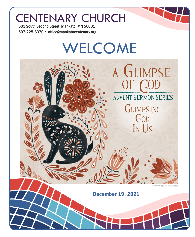# CENTENARY CHURCH

501 South Second Street, Mankato, MN 56001 507-225-6370 • office@mankatocentenary.org

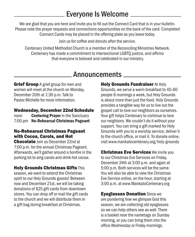## Everyone Is Welcome

We are glad that you are here and invite you to fill out the Connect Card that is in your bulletin. Please note the prayer requests and connections opportunities on the back of the card. Completed Connect Cards may be placed in the offering plate as you leave today.

Join us for coffee and donuts after the service.

Centenary United Methodist Church is a member of the Reconciling Ministries Network. Centenary has made a commitment to intersectional LGBTQ justice, and affirms that everyone is beloved and celebrated in our ministry.

### Announcements

**Grief Group** A grief group for men and women will meet at the church on Monday, December 20th at 1:30 p.m. Talk to Pastor Michelle for more information.

#### Wednesday, December 22nd Schedule

noon **Centering Prayer** in the Sanctuary 7:00 pm No-Rehearsal Christmas Pageant

### No-Rehearsal Christmas Pageant with Cocoa, Carols, and Hot

Chocolate Join us December 22nd at 7:00 p.m. for the annual Christmas Pageant. Afterwards, we'll gather around a bonfire in the parking lot to sing carols and drink hot cocoa.

### Holy Grounds Christmas Gifts This

season, we want to extend the Christmas spirit to our Holy Grounds guests! Between now and December 21st, we will be taking donations of \$25 gift cards from downtown stores. You can drop off or mail the gift cards to the church and we will distribute them in a gift bag during breakfast at Christmas.

**Holy Grounds Fundraiser At Holy** Grounds, we serve a warm breakfast to 40-60 people 6 mornings a week, but Holy Grounds is about more than just the food. Holy Grounds provides a tangible way for us to live out the gospel call to love our neighbors as ourselves. Your gift helps Centenary to continue to love our neighbors. We couldn't do it without your support. You can bring a gift marked for Holy Grounds with you to a worship service, deliver it to the church office, or mail it. To donate online, visit www.mankatocentenary.org/holy-grounds

**Christmas Eve Services** We invite you to our Christmas Eve Services on Friday, December 24th at 3:00 p.m. and again at 5:00 p.m. Both services will be the same. You will also be able to view the Christmas Eve Service online, on the hour, starting at 3:00 p.m. at www.MankatoCentenary.org

Eyeglasses Donation Since we are pondering how we glimpse God this season, we are collecting old eyeglasses so we can help others see as well. There is a basket near the nametags on Sunday morning, or you can bring them into the office Wednesday or Friday mornings.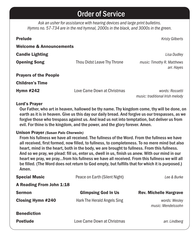## Order of Service

*Ask an usher for assistance with hearing devices and large print bulletins. Hymns no. 57-734 are in the red hymnal, 2000s in the black, and 3000s in the green.*

| <b>Prelude</b>                     |                             | <b>Kristy Gilberts</b>                             |
|------------------------------------|-----------------------------|----------------------------------------------------|
| <b>Welcome &amp; Announcements</b> |                             |                                                    |
| <b>Candle Lighting</b>             |                             | Lisa Dudley                                        |
| <b>Opening Song</b>                | Thou Didst Leave Thy Throne | music: Timothy R. Matthews<br>arr. Hayes           |
| <b>Prayers of the People</b>       |                             |                                                    |
| <b>Children's Time</b>             |                             |                                                    |
| <b>Hymn #242</b>                   | Love Came Down at Christmas | words: Rossetti<br>music: traditional Irish melody |

#### Lord's Prayer

Our Father, who art in heaven, hallowed be thy name. Thy kingdom come, thy will be done, on earth as it is in heaven. Give us this day our daily bread. And forgive us our trespasses, as we forgive those who trespass against us. And lead us not into temptation, but deliver us from evil. For thine is the kingdom, and the power, and the glory forever. Amen.

#### Unison Prayer *(Susan Palo Cherwein)*

From his fullness we have all received. The fullness of the Word. From the fullness we have all received, first formed, now filled, to fullness, to completeness. To no mere mind but also heart, mind in the heart, both in the body, we are brought to fullness. From this fullness. And so we pray, we plead: fill us, enter us, dwell in us, finish us anew. With our mind in our heart we pray, we pray...from his fullness we have all received. From this fullness we will all be filled. (The Word does not return to God empty, but fulfills that for which it is purposed.) Amen.

| <b>Special Music</b>     | Peace on Earth (Silent Night) | Lee & Burke                         |
|--------------------------|-------------------------------|-------------------------------------|
| A Reading From John 1:18 |                               |                                     |
| <b>Sermon</b>            | <b>Glimpsing God In Us</b>    | <b>Rev. Michelle Hargrave</b>       |
| <b>Closing Hymn #240</b> | Hark The Herald Angels Sing   | words: Wesley<br>music: Mendelssohn |
| <b>Benediction</b>       |                               |                                     |
| <b>Postlude</b>          | Love Came Down at Christmas   | arr. Lindberg                       |